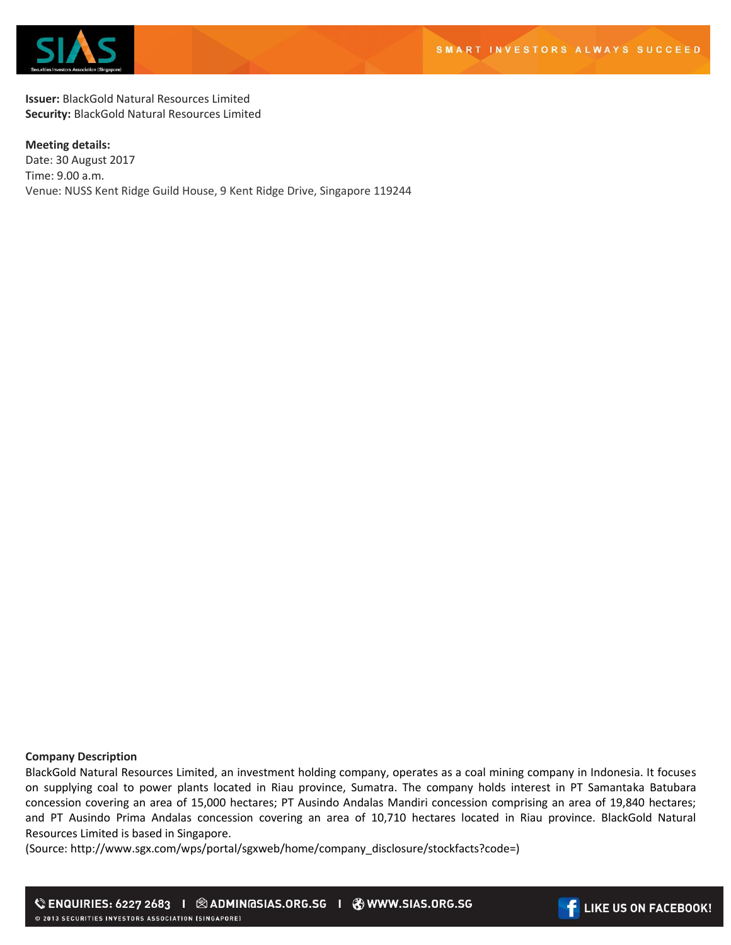

**Issuer:** BlackGold Natural Resources Limited **Security:** BlackGold Natural Resources Limited

## **Meeting details:**

Date: 30 August 2017 Time: 9.00 a.m. Venue: NUSS Kent Ridge Guild House, 9 Kent Ridge Drive, Singapore 119244

## **Company Description**

BlackGold Natural Resources Limited, an investment holding company, operates as a coal mining company in Indonesia. It focuses on supplying coal to power plants located in Riau province, Sumatra. The company holds interest in PT Samantaka Batubara concession covering an area of 15,000 hectares; PT Ausindo Andalas Mandiri concession comprising an area of 19,840 hectares; and PT Ausindo Prima Andalas concession covering an area of 10,710 hectares located in Riau province. BlackGold Natural Resources Limited is based in Singapore.

(Source: http://www.sgx.com/wps/portal/sgxweb/home/company\_disclosure/stockfacts?code=)